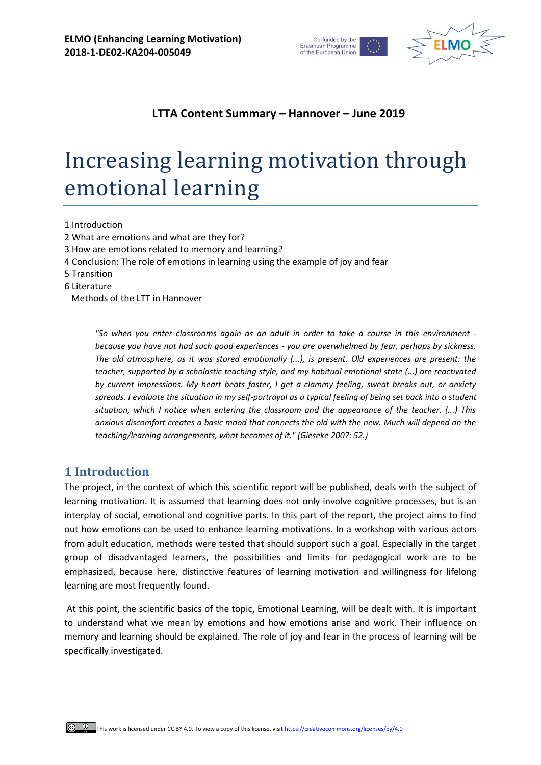



## **LTTA Content Summary – Hannover – June 2019**

# Increasing learning motivation through emotional learning

1 Introduction

- 2 What are emotions and what are they for?
- 3 How are emotions related to memory and learning?
- 4 Conclusion: The role of emotions in learning using the example of joy and fear
- 5 Transition
- 6 Literature

Methods of the LTT in Hannover

*"So when you enter classrooms again as an adult in order to take a course in this environment because you have not had such good experiences - you are overwhelmed by fear, perhaps by sickness. The old atmosphere, as it was stored emotionally (...), is present. Old experiences are present: the teacher, supported by a scholastic teaching style, and my habitual emotional state (...) are reactivated by current impressions. My heart beats faster, I get a clammy feeling, sweat breaks out, or anxiety spreads. I evaluate the situation in my self-portrayal as a typical feeling of being set back into a student situation, which I notice when entering the classroom and the appearance of the teacher. (...) This anxious discomfort creates a basic mood that connects the old with the new. Much will depend on the teaching/learning arrangements, what becomes of it." (Gieseke 2007: 52.)*

### **1 Introduction**

The project, in the context of which this scientific report will be published, deals with the subject of learning motivation. It is assumed that learning does not only involve cognitive processes, but is an interplay of social, emotional and cognitive parts. In this part of the report, the project aims to find out how emotions can be used to enhance learning motivations. In a workshop with various actors from adult education, methods were tested that should support such a goal. Especially in the target group of disadvantaged learners, the possibilities and limits for pedagogical work are to be emphasized, because here, distinctive features of learning motivation and willingness for lifelong learning are most frequently found.

At this point, the scientific basics of the topic, Emotional Learning, will be dealt with. It is important to understand what we mean by emotions and how emotions arise and work. Their influence on memory and learning should be explained. The role of joy and fear in the process of learning will be specifically investigated.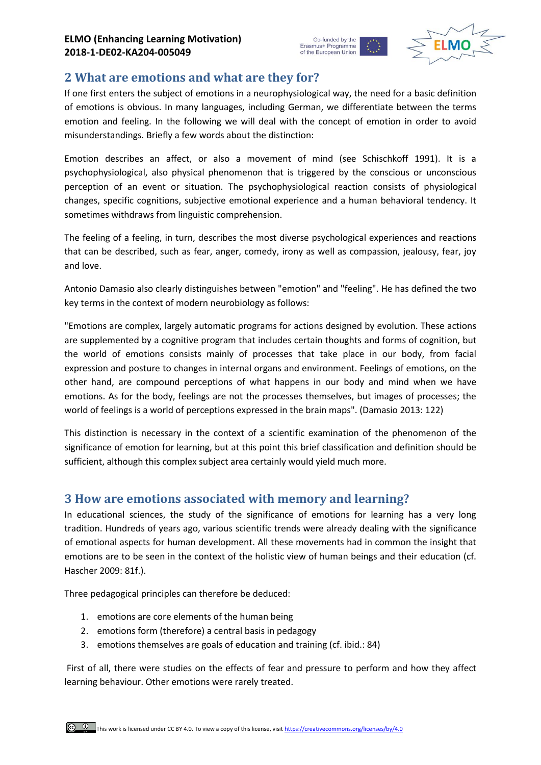



## **2 What are emotions and what are they for?**

If one first enters the subject of emotions in a neurophysiological way, the need for a basic definition of emotions is obvious. In many languages, including German, we differentiate between the terms emotion and feeling. In the following we will deal with the concept of emotion in order to avoid misunderstandings. Briefly a few words about the distinction:

Emotion describes an affect, or also a movement of mind (see Schischkoff 1991). It is a psychophysiological, also physical phenomenon that is triggered by the conscious or unconscious perception of an event or situation. The psychophysiological reaction consists of physiological changes, specific cognitions, subjective emotional experience and a human behavioral tendency. It sometimes withdraws from linguistic comprehension.

The feeling of a feeling, in turn, describes the most diverse psychological experiences and reactions that can be described, such as fear, anger, comedy, irony as well as compassion, jealousy, fear, joy and love.

Antonio Damasio also clearly distinguishes between "emotion" and "feeling". He has defined the two key terms in the context of modern neurobiology as follows:

"Emotions are complex, largely automatic programs for actions designed by evolution. These actions are supplemented by a cognitive program that includes certain thoughts and forms of cognition, but the world of emotions consists mainly of processes that take place in our body, from facial expression and posture to changes in internal organs and environment. Feelings of emotions, on the other hand, are compound perceptions of what happens in our body and mind when we have emotions. As for the body, feelings are not the processes themselves, but images of processes; the world of feelings is a world of perceptions expressed in the brain maps". (Damasio 2013: 122)

This distinction is necessary in the context of a scientific examination of the phenomenon of the significance of emotion for learning, but at this point this brief classification and definition should be sufficient, although this complex subject area certainly would yield much more.

## **3 How are emotions associated with memory and learning?**

In educational sciences, the study of the significance of emotions for learning has a very long tradition. Hundreds of years ago, various scientific trends were already dealing with the significance of emotional aspects for human development. All these movements had in common the insight that emotions are to be seen in the context of the holistic view of human beings and their education (cf. Hascher 2009: 81f.).

Three pedagogical principles can therefore be deduced:

- 1. emotions are core elements of the human being
- 2. emotions form (therefore) a central basis in pedagogy
- 3. emotions themselves are goals of education and training (cf. ibid.: 84)

First of all, there were studies on the effects of fear and pressure to perform and how they affect learning behaviour. Other emotions were rarely treated.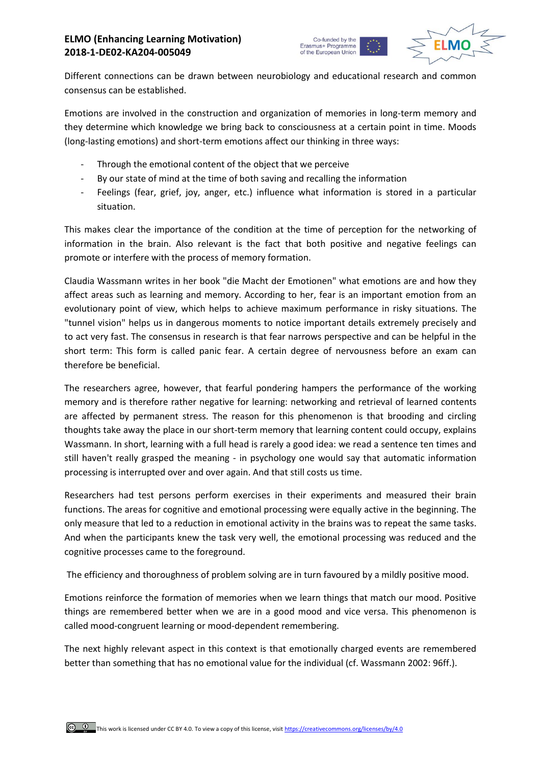



Different connections can be drawn between neurobiology and educational research and common consensus can be established.

Emotions are involved in the construction and organization of memories in long-term memory and they determine which knowledge we bring back to consciousness at a certain point in time. Moods (long-lasting emotions) and short-term emotions affect our thinking in three ways:

- Through the emotional content of the object that we perceive
- By our state of mind at the time of both saving and recalling the information
- Feelings (fear, grief, joy, anger, etc.) influence what information is stored in a particular situation.

This makes clear the importance of the condition at the time of perception for the networking of information in the brain. Also relevant is the fact that both positive and negative feelings can promote or interfere with the process of memory formation.

Claudia Wassmann writes in her book "die Macht der Emotionen" what emotions are and how they affect areas such as learning and memory. According to her, fear is an important emotion from an evolutionary point of view, which helps to achieve maximum performance in risky situations. The "tunnel vision" helps us in dangerous moments to notice important details extremely precisely and to act very fast. The consensus in research is that fear narrows perspective and can be helpful in the short term: This form is called panic fear. A certain degree of nervousness before an exam can therefore be beneficial.

The researchers agree, however, that fearful pondering hampers the performance of the working memory and is therefore rather negative for learning: networking and retrieval of learned contents are affected by permanent stress. The reason for this phenomenon is that brooding and circling thoughts take away the place in our short-term memory that learning content could occupy, explains Wassmann. In short, learning with a full head is rarely a good idea: we read a sentence ten times and still haven't really grasped the meaning - in psychology one would say that automatic information processing is interrupted over and over again. And that still costs us time.

Researchers had test persons perform exercises in their experiments and measured their brain functions. The areas for cognitive and emotional processing were equally active in the beginning. The only measure that led to a reduction in emotional activity in the brains was to repeat the same tasks. And when the participants knew the task very well, the emotional processing was reduced and the cognitive processes came to the foreground.

The efficiency and thoroughness of problem solving are in turn favoured by a mildly positive mood.

Emotions reinforce the formation of memories when we learn things that match our mood. Positive things are remembered better when we are in a good mood and vice versa. This phenomenon is called mood-congruent learning or mood-dependent remembering.

The next highly relevant aspect in this context is that emotionally charged events are remembered better than something that has no emotional value for the individual (cf. Wassmann 2002: 96ff.).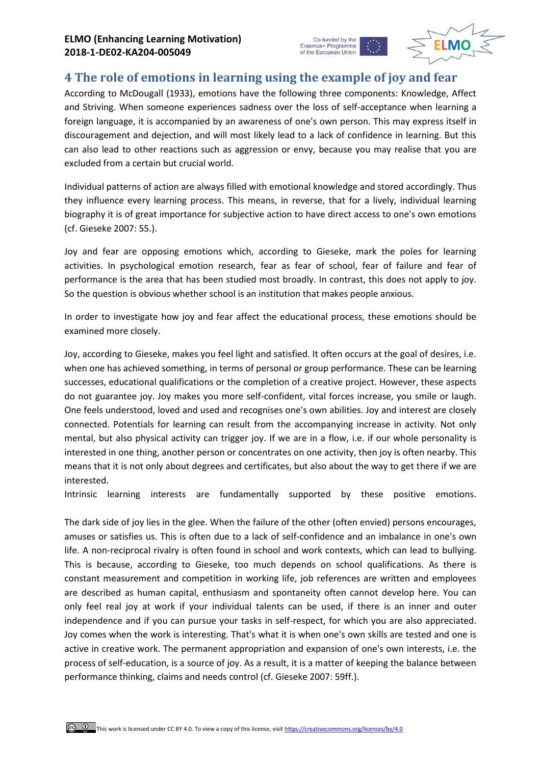

## **4 The role of emotions in learning using the example of joy and fear**

According to McDougall (1933), emotions have the following three components: Knowledge, Affect and Striving. When someone experiences sadness over the loss of self-acceptance when learning a foreign language, it is accompanied by an awareness of one's own person. This may express itself in discouragement and dejection, and will most likely lead to a lack of confidence in learning. But this can also lead to other reactions such as aggression or envy, because you may realise that you are excluded from a certain but crucial world.

Individual patterns of action are always filled with emotional knowledge and stored accordingly. Thus they influence every learning process. This means, in reverse, that for a lively, individual learning biography it is of great importance for subjective action to have direct access to one's own emotions (cf. Gieseke 2007: 55.).

Joy and fear are opposing emotions which, according to Gieseke, mark the poles for learning activities. In psychological emotion research, fear as fear of school, fear of failure and fear of performance is the area that has been studied most broadly. In contrast, this does not apply to joy. So the question is obvious whether school is an institution that makes people anxious.

In order to investigate how joy and fear affect the educational process, these emotions should be examined more closely.

Joy, according to Gieseke, makes you feel light and satisfied. It often occurs at the goal of desires, i.e. when one has achieved something, in terms of personal or group performance. These can be learning successes, educational qualifications or the completion of a creative project. However, these aspects do not guarantee joy. Joy makes you more self-confident, vital forces increase, you smile or laugh. One feels understood, loved and used and recognises one's own abilities. Joy and interest are closely connected. Potentials for learning can result from the accompanying increase in activity. Not only mental, but also physical activity can trigger joy. If we are in a flow, i.e. if our whole personality is interested in one thing, another person or concentrates on one activity, then joy is often nearby. This means that it is not only about degrees and certificates, but also about the way to get there if we are interested.

Intrinsic learning interests are fundamentally supported by these positive emotions.

The dark side of joy lies in the glee. When the failure of the other (often envied) persons encourages, amuses or satisfies us. This is often due to a lack of self-confidence and an imbalance in one's own life. A non-reciprocal rivalry is often found in school and work contexts, which can lead to bullying. This is because, according to Gieseke, too much depends on school qualifications. As there is constant measurement and competition in working life, job references are written and employees are described as human capital, enthusiasm and spontaneity often cannot develop here. You can only feel real joy at work if your individual talents can be used, if there is an inner and outer independence and if you can pursue your tasks in self-respect, for which you are also appreciated. Joy comes when the work is interesting. That's what it is when one's own skills are tested and one is active in creative work. The permanent appropriation and expansion of one's own interests, i.e. the process of self-education, is a source of joy. As a result, it is a matter of keeping the balance between performance thinking, claims and needs control (cf. Gieseke 2007: 59ff.).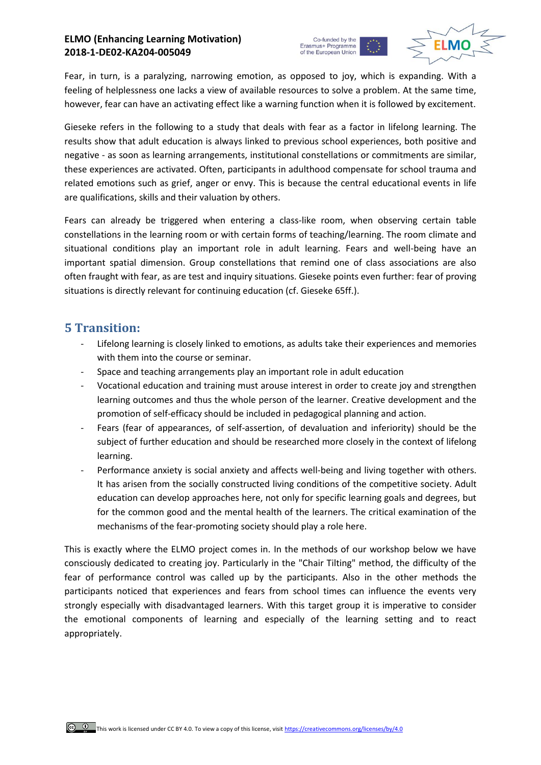#### **ELMO (Enhancing Learning Motivation) 2018-1-DE02-KA204-005049**





Fear, in turn, is a paralyzing, narrowing emotion, as opposed to joy, which is expanding. With a feeling of helplessness one lacks a view of available resources to solve a problem. At the same time, however, fear can have an activating effect like a warning function when it is followed by excitement.

Gieseke refers in the following to a study that deals with fear as a factor in lifelong learning. The results show that adult education is always linked to previous school experiences, both positive and negative - as soon as learning arrangements, institutional constellations or commitments are similar, these experiences are activated. Often, participants in adulthood compensate for school trauma and related emotions such as grief, anger or envy. This is because the central educational events in life are qualifications, skills and their valuation by others.

Fears can already be triggered when entering a class-like room, when observing certain table constellations in the learning room or with certain forms of teaching/learning. The room climate and situational conditions play an important role in adult learning. Fears and well-being have an important spatial dimension. Group constellations that remind one of class associations are also often fraught with fear, as are test and inquiry situations. Gieseke points even further: fear of proving situations is directly relevant for continuing education (cf. Gieseke 65ff.).

## **5 Transition:**

- Lifelong learning is closely linked to emotions, as adults take their experiences and memories with them into the course or seminar.
- Space and teaching arrangements play an important role in adult education
- Vocational education and training must arouse interest in order to create joy and strengthen learning outcomes and thus the whole person of the learner. Creative development and the promotion of self-efficacy should be included in pedagogical planning and action.
- Fears (fear of appearances, of self-assertion, of devaluation and inferiority) should be the subject of further education and should be researched more closely in the context of lifelong learning.
- Performance anxiety is social anxiety and affects well-being and living together with others. It has arisen from the socially constructed living conditions of the competitive society. Adult education can develop approaches here, not only for specific learning goals and degrees, but for the common good and the mental health of the learners. The critical examination of the mechanisms of the fear-promoting society should play a role here.

This is exactly where the ELMO project comes in. In the methods of our workshop below we have consciously dedicated to creating joy. Particularly in the "Chair Tilting" method, the difficulty of the fear of performance control was called up by the participants. Also in the other methods the participants noticed that experiences and fears from school times can influence the events very strongly especially with disadvantaged learners. With this target group it is imperative to consider the emotional components of learning and especially of the learning setting and to react appropriately.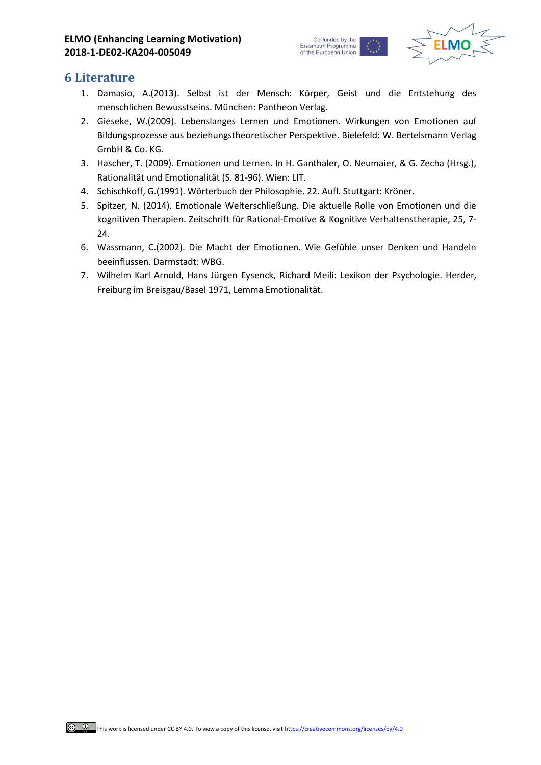

### **6 Literature**

- 1. Damasio, A.(2013). Selbst ist der Mensch: Körper, Geist und die Entstehung des menschlichen Bewusstseins. München: Pantheon Verlag.
- 2. Gieseke, W.(2009). Lebenslanges Lernen und Emotionen. Wirkungen von Emotionen auf Bildungsprozesse aus beziehungstheoretischer Perspektive. Bielefeld: W. Bertelsmann Verlag GmbH & Co. KG.
- 3. Hascher, T. (2009). Emotionen und Lernen. In H. Ganthaler, O. Neumaier, & G. Zecha (Hrsg.), Rationalität und Emotionalität (S. 81-96). Wien: LIT.
- 4. Schischkoff, G.(1991). Wörterbuch der Philosophie. 22. Aufl. Stuttgart: Kröner.
- 5. Spitzer, N. (2014). Emotionale Welterschließung. Die aktuelle Rolle von Emotionen und die kognitiven Therapien. Zeitschrift für Rational-Emotive & Kognitive Verhaltenstherapie, 25, 7- 24.
- 6. Wassmann, C.(2002). Die Macht der Emotionen. Wie Gefühle unser Denken und Handeln beeinflussen. Darmstadt: WBG.
- 7. Wilhelm Karl Arnold, Hans Jürgen Eysenck, Richard Meili: Lexikon der Psychologie. Herder, Freiburg im Breisgau/Basel 1971, Lemma Emotionalität.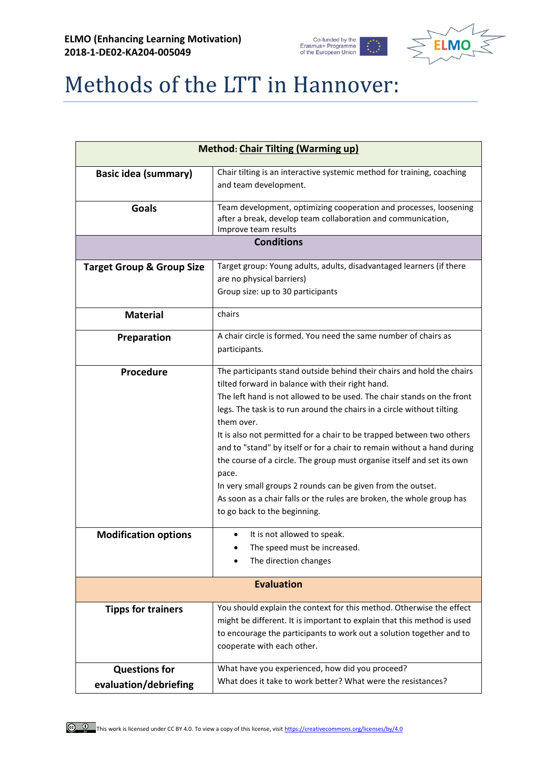



# Methods of the LTT in Hannover:

| <b>Method: Chair Tilting (Warming up)</b>     |                                                                                                                                                                                                                                                                                                                                                                                                                                                                                                                                                                                                                                                                                                             |  |
|-----------------------------------------------|-------------------------------------------------------------------------------------------------------------------------------------------------------------------------------------------------------------------------------------------------------------------------------------------------------------------------------------------------------------------------------------------------------------------------------------------------------------------------------------------------------------------------------------------------------------------------------------------------------------------------------------------------------------------------------------------------------------|--|
| <b>Basic idea (summary)</b>                   | Chair tilting is an interactive systemic method for training, coaching<br>and team development.                                                                                                                                                                                                                                                                                                                                                                                                                                                                                                                                                                                                             |  |
| <b>Goals</b>                                  | Team development, optimizing cooperation and processes, loosening<br>after a break, develop team collaboration and communication,<br>Improve team results                                                                                                                                                                                                                                                                                                                                                                                                                                                                                                                                                   |  |
|                                               | <b>Conditions</b>                                                                                                                                                                                                                                                                                                                                                                                                                                                                                                                                                                                                                                                                                           |  |
| <b>Target Group &amp; Group Size</b>          | Target group: Young adults, adults, disadvantaged learners (if there<br>are no physical barriers)<br>Group size: up to 30 participants                                                                                                                                                                                                                                                                                                                                                                                                                                                                                                                                                                      |  |
| <b>Material</b>                               | chairs                                                                                                                                                                                                                                                                                                                                                                                                                                                                                                                                                                                                                                                                                                      |  |
| Preparation                                   | A chair circle is formed. You need the same number of chairs as<br>participants.                                                                                                                                                                                                                                                                                                                                                                                                                                                                                                                                                                                                                            |  |
| Procedure                                     | The participants stand outside behind their chairs and hold the chairs<br>tilted forward in balance with their right hand.<br>The left hand is not allowed to be used. The chair stands on the front<br>legs. The task is to run around the chairs in a circle without tilting<br>them over.<br>It is also not permitted for a chair to be trapped between two others<br>and to "stand" by itself or for a chair to remain without a hand during<br>the course of a circle. The group must organise itself and set its own<br>pace.<br>In very small groups 2 rounds can be given from the outset.<br>As soon as a chair falls or the rules are broken, the whole group has<br>to go back to the beginning. |  |
| <b>Modification options</b>                   | It is not allowed to speak.<br>The speed must be increased.<br>The direction changes                                                                                                                                                                                                                                                                                                                                                                                                                                                                                                                                                                                                                        |  |
| <b>Evaluation</b>                             |                                                                                                                                                                                                                                                                                                                                                                                                                                                                                                                                                                                                                                                                                                             |  |
| <b>Tipps for trainers</b>                     | You should explain the context for this method. Otherwise the effect<br>might be different. It is important to explain that this method is used<br>to encourage the participants to work out a solution together and to<br>cooperate with each other.                                                                                                                                                                                                                                                                                                                                                                                                                                                       |  |
| <b>Questions for</b><br>evaluation/debriefing | What have you experienced, how did you proceed?<br>What does it take to work better? What were the resistances?                                                                                                                                                                                                                                                                                                                                                                                                                                                                                                                                                                                             |  |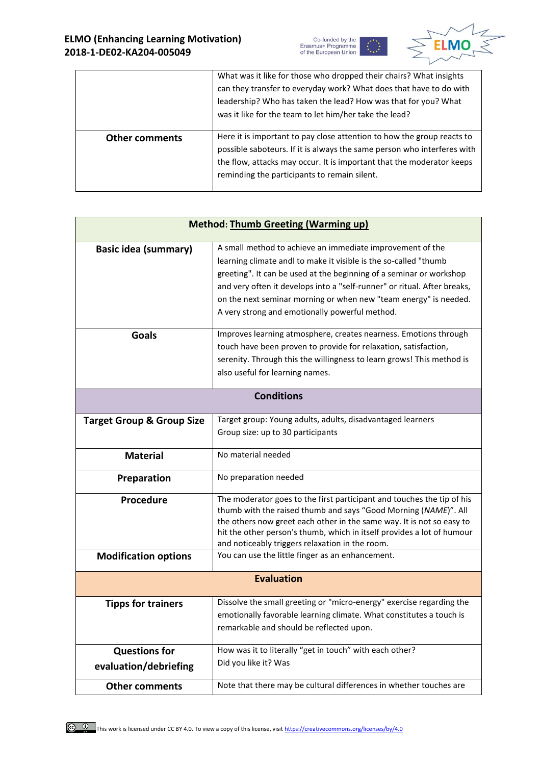



|                       | What was it like for those who dropped their chairs? What insights      |
|-----------------------|-------------------------------------------------------------------------|
|                       | can they transfer to everyday work? What does that have to do with      |
|                       | leadership? Who has taken the lead? How was that for you? What          |
|                       | was it like for the team to let him/her take the lead?                  |
|                       |                                                                         |
| <b>Other comments</b> | Here it is important to pay close attention to how the group reacts to  |
|                       | possible saboteurs. If it is always the same person who interferes with |
|                       | the flow, attacks may occur. It is important that the moderator keeps   |
|                       |                                                                         |
|                       | reminding the participants to remain silent.                            |

| <b>Method: Thumb Greeting (Warming up)</b>    |                                                                                                                                                                                                                                                                                                                                                                                                        |
|-----------------------------------------------|--------------------------------------------------------------------------------------------------------------------------------------------------------------------------------------------------------------------------------------------------------------------------------------------------------------------------------------------------------------------------------------------------------|
| <b>Basic idea (summary)</b>                   | A small method to achieve an immediate improvement of the<br>learning climate andl to make it visible is the so-called "thumb<br>greeting". It can be used at the beginning of a seminar or workshop<br>and very often it develops into a "self-runner" or ritual. After breaks,<br>on the next seminar morning or when new "team energy" is needed.<br>A very strong and emotionally powerful method. |
| <b>Goals</b>                                  | Improves learning atmosphere, creates nearness. Emotions through<br>touch have been proven to provide for relaxation, satisfaction,<br>serenity. Through this the willingness to learn grows! This method is<br>also useful for learning names.                                                                                                                                                        |
| <b>Conditions</b>                             |                                                                                                                                                                                                                                                                                                                                                                                                        |
| <b>Target Group &amp; Group Size</b>          | Target group: Young adults, adults, disadvantaged learners<br>Group size: up to 30 participants                                                                                                                                                                                                                                                                                                        |
| <b>Material</b>                               | No material needed                                                                                                                                                                                                                                                                                                                                                                                     |
| Preparation                                   | No preparation needed                                                                                                                                                                                                                                                                                                                                                                                  |
| <b>Procedure</b>                              | The moderator goes to the first participant and touches the tip of his<br>thumb with the raised thumb and says "Good Morning (NAME)". All<br>the others now greet each other in the same way. It is not so easy to<br>hit the other person's thumb, which in itself provides a lot of humour<br>and noticeably triggers relaxation in the room.                                                        |
| <b>Modification options</b>                   | You can use the little finger as an enhancement.                                                                                                                                                                                                                                                                                                                                                       |
|                                               | <b>Evaluation</b>                                                                                                                                                                                                                                                                                                                                                                                      |
| <b>Tipps for trainers</b>                     | Dissolve the small greeting or "micro-energy" exercise regarding the<br>emotionally favorable learning climate. What constitutes a touch is<br>remarkable and should be reflected upon.                                                                                                                                                                                                                |
| <b>Questions for</b><br>evaluation/debriefing | How was it to literally "get in touch" with each other?<br>Did you like it? Was                                                                                                                                                                                                                                                                                                                        |
| <b>Other comments</b>                         | Note that there may be cultural differences in whether touches are                                                                                                                                                                                                                                                                                                                                     |

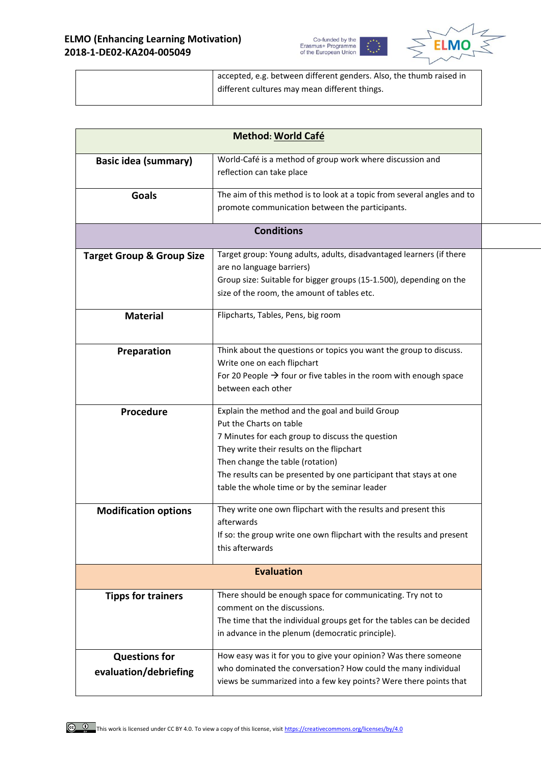



| accepted, e.g. between different genders. Also, the thumb raised in |
|---------------------------------------------------------------------|
| different cultures may mean different things.                       |
|                                                                     |

|                                               | Method: World Café                                                                                                                                                                                                                                                                                                                    |
|-----------------------------------------------|---------------------------------------------------------------------------------------------------------------------------------------------------------------------------------------------------------------------------------------------------------------------------------------------------------------------------------------|
| <b>Basic idea (summary)</b>                   | World-Café is a method of group work where discussion and<br>reflection can take place                                                                                                                                                                                                                                                |
| <b>Goals</b>                                  | The aim of this method is to look at a topic from several angles and to<br>promote communication between the participants.                                                                                                                                                                                                            |
|                                               | <b>Conditions</b>                                                                                                                                                                                                                                                                                                                     |
| <b>Target Group &amp; Group Size</b>          | Target group: Young adults, adults, disadvantaged learners (if there<br>are no language barriers)<br>Group size: Suitable for bigger groups (15-1.500), depending on the<br>size of the room, the amount of tables etc.                                                                                                               |
| <b>Material</b>                               | Flipcharts, Tables, Pens, big room                                                                                                                                                                                                                                                                                                    |
| Preparation                                   | Think about the questions or topics you want the group to discuss.<br>Write one on each flipchart<br>For 20 People $\rightarrow$ four or five tables in the room with enough space<br>between each other                                                                                                                              |
| Procedure                                     | Explain the method and the goal and build Group<br>Put the Charts on table<br>7 Minutes for each group to discuss the question<br>They write their results on the flipchart<br>Then change the table (rotation)<br>The results can be presented by one participant that stays at one<br>table the whole time or by the seminar leader |
| <b>Modification options</b>                   | They write one own flipchart with the results and present this<br>afterwards<br>If so: the group write one own flipchart with the results and present<br>this afterwards                                                                                                                                                              |
|                                               | <b>Evaluation</b>                                                                                                                                                                                                                                                                                                                     |
| <b>Tipps for trainers</b>                     | There should be enough space for communicating. Try not to<br>comment on the discussions.<br>The time that the individual groups get for the tables can be decided<br>in advance in the plenum (democratic principle).                                                                                                                |
| <b>Questions for</b><br>evaluation/debriefing | How easy was it for you to give your opinion? Was there someone<br>who dominated the conversation? How could the many individual<br>views be summarized into a few key points? Were there points that                                                                                                                                 |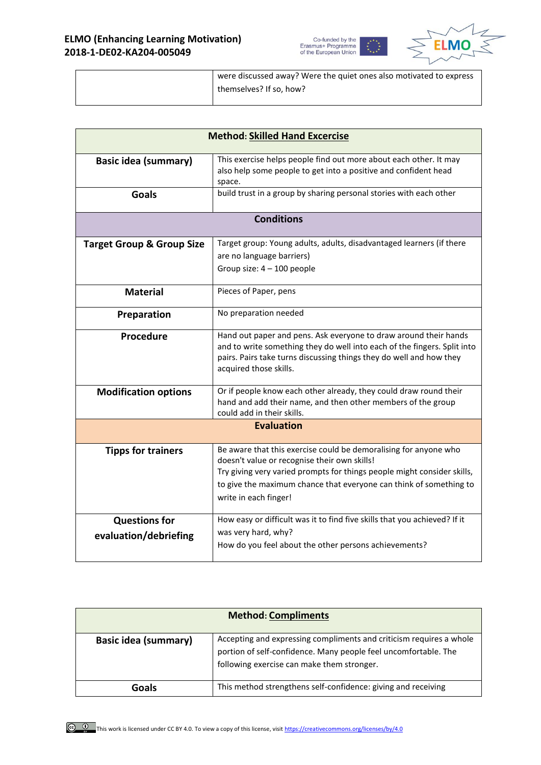



| were discussed away? Were the quiet ones also motivated to express |
|--------------------------------------------------------------------|
| themselves? If so, how?                                            |
|                                                                    |

| <b>Method: Skilled Hand Excercise</b>         |                                                                                                                                                                                                                                                                                            |
|-----------------------------------------------|--------------------------------------------------------------------------------------------------------------------------------------------------------------------------------------------------------------------------------------------------------------------------------------------|
| <b>Basic idea (summary)</b>                   | This exercise helps people find out more about each other. It may<br>also help some people to get into a positive and confident head<br>space.                                                                                                                                             |
| <b>Goals</b>                                  | build trust in a group by sharing personal stories with each other                                                                                                                                                                                                                         |
|                                               | <b>Conditions</b>                                                                                                                                                                                                                                                                          |
| <b>Target Group &amp; Group Size</b>          | Target group: Young adults, adults, disadvantaged learners (if there<br>are no language barriers)<br>Group size: $4 - 100$ people                                                                                                                                                          |
| <b>Material</b>                               | Pieces of Paper, pens                                                                                                                                                                                                                                                                      |
| Preparation                                   | No preparation needed                                                                                                                                                                                                                                                                      |
| Procedure                                     | Hand out paper and pens. Ask everyone to draw around their hands<br>and to write something they do well into each of the fingers. Split into<br>pairs. Pairs take turns discussing things they do well and how they<br>acquired those skills.                                              |
| <b>Modification options</b>                   | Or if people know each other already, they could draw round their<br>hand and add their name, and then other members of the group<br>could add in their skills.                                                                                                                            |
| <b>Evaluation</b>                             |                                                                                                                                                                                                                                                                                            |
| <b>Tipps for trainers</b>                     | Be aware that this exercise could be demoralising for anyone who<br>doesn't value or recognise their own skills!<br>Try giving very varied prompts for things people might consider skills,<br>to give the maximum chance that everyone can think of something to<br>write in each finger! |
| <b>Questions for</b><br>evaluation/debriefing | How easy or difficult was it to find five skills that you achieved? If it<br>was very hard, why?<br>How do you feel about the other persons achievements?                                                                                                                                  |

| <b>Method: Compliments</b>  |                                                                                                                                                                                      |
|-----------------------------|--------------------------------------------------------------------------------------------------------------------------------------------------------------------------------------|
| <b>Basic idea (summary)</b> | Accepting and expressing compliments and criticism requires a whole<br>portion of self-confidence. Many people feel uncomfortable. The<br>following exercise can make them stronger. |
| Goals                       | This method strengthens self-confidence: giving and receiving                                                                                                                        |

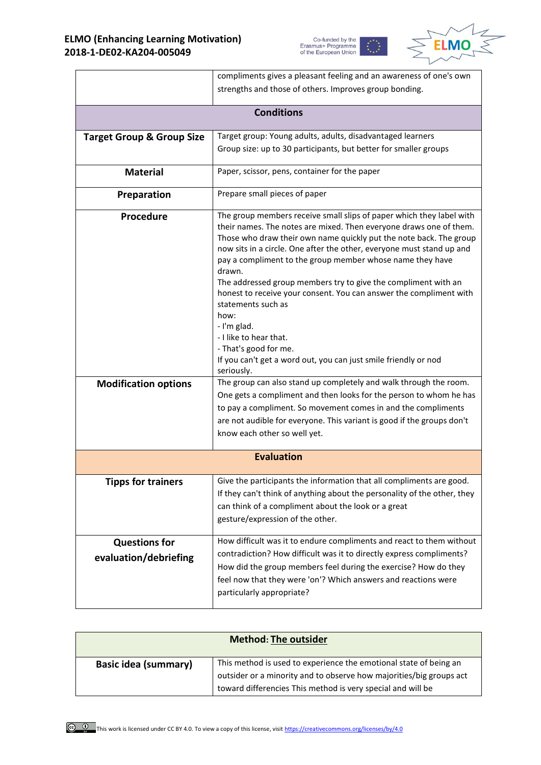



|                                               | compliments gives a pleasant feeling and an awareness of one's own                                                                                                                                                                                                                                                                                                                                                                                                                                                                                                                                       |
|-----------------------------------------------|----------------------------------------------------------------------------------------------------------------------------------------------------------------------------------------------------------------------------------------------------------------------------------------------------------------------------------------------------------------------------------------------------------------------------------------------------------------------------------------------------------------------------------------------------------------------------------------------------------|
|                                               | strengths and those of others. Improves group bonding.                                                                                                                                                                                                                                                                                                                                                                                                                                                                                                                                                   |
|                                               |                                                                                                                                                                                                                                                                                                                                                                                                                                                                                                                                                                                                          |
|                                               | <b>Conditions</b>                                                                                                                                                                                                                                                                                                                                                                                                                                                                                                                                                                                        |
| <b>Target Group &amp; Group Size</b>          | Target group: Young adults, adults, disadvantaged learners                                                                                                                                                                                                                                                                                                                                                                                                                                                                                                                                               |
|                                               | Group size: up to 30 participants, but better for smaller groups                                                                                                                                                                                                                                                                                                                                                                                                                                                                                                                                         |
| <b>Material</b>                               | Paper, scissor, pens, container for the paper                                                                                                                                                                                                                                                                                                                                                                                                                                                                                                                                                            |
| Preparation                                   | Prepare small pieces of paper                                                                                                                                                                                                                                                                                                                                                                                                                                                                                                                                                                            |
| Procedure                                     | The group members receive small slips of paper which they label with<br>their names. The notes are mixed. Then everyone draws one of them.<br>Those who draw their own name quickly put the note back. The group<br>now sits in a circle. One after the other, everyone must stand up and<br>pay a compliment to the group member whose name they have<br>drawn.<br>The addressed group members try to give the compliment with an<br>honest to receive your consent. You can answer the compliment with<br>statements such as<br>how:<br>- I'm glad.<br>- I like to hear that.<br>- That's good for me. |
|                                               | If you can't get a word out, you can just smile friendly or nod<br>seriously.                                                                                                                                                                                                                                                                                                                                                                                                                                                                                                                            |
| <b>Modification options</b>                   | The group can also stand up completely and walk through the room.<br>One gets a compliment and then looks for the person to whom he has<br>to pay a compliment. So movement comes in and the compliments<br>are not audible for everyone. This variant is good if the groups don't<br>know each other so well yet.                                                                                                                                                                                                                                                                                       |
|                                               | <b>Evaluation</b>                                                                                                                                                                                                                                                                                                                                                                                                                                                                                                                                                                                        |
| <b>Tipps for trainers</b>                     | Give the participants the information that all compliments are good.<br>If they can't think of anything about the personality of the other, they<br>can think of a compliment about the look or a great<br>gesture/expression of the other.                                                                                                                                                                                                                                                                                                                                                              |
| <b>Questions for</b><br>evaluation/debriefing | How difficult was it to endure compliments and react to them without<br>contradiction? How difficult was it to directly express compliments?<br>How did the group members feel during the exercise? How do they<br>feel now that they were 'on'? Which answers and reactions were<br>particularly appropriate?                                                                                                                                                                                                                                                                                           |

| <b>Method: The outsider</b> |                                                                                                                                                                                                         |
|-----------------------------|---------------------------------------------------------------------------------------------------------------------------------------------------------------------------------------------------------|
| <b>Basic idea (summary)</b> | This method is used to experience the emotional state of being an<br>outsider or a minority and to observe how majorities/big groups act<br>toward differencies This method is very special and will be |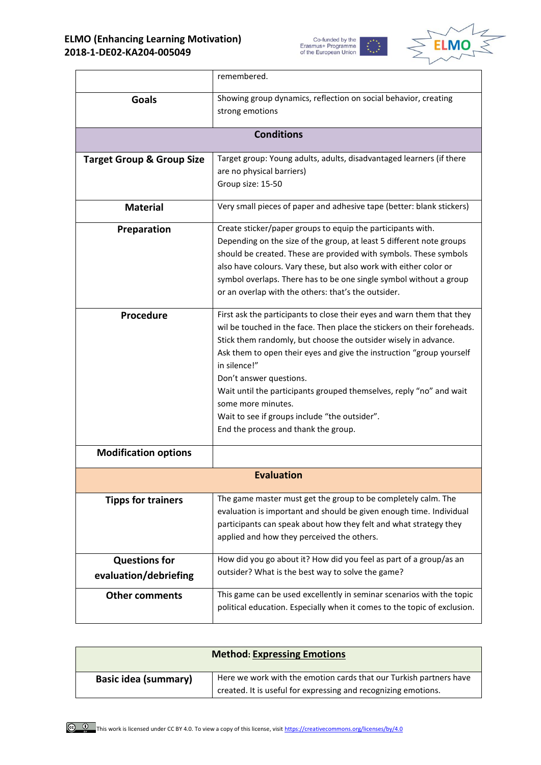



|                                      | remembered.                                                                                                               |
|--------------------------------------|---------------------------------------------------------------------------------------------------------------------------|
| Goals                                | Showing group dynamics, reflection on social behavior, creating                                                           |
|                                      | strong emotions                                                                                                           |
|                                      | <b>Conditions</b>                                                                                                         |
| <b>Target Group &amp; Group Size</b> | Target group: Young adults, adults, disadvantaged learners (if there                                                      |
|                                      | are no physical barriers)                                                                                                 |
|                                      | Group size: 15-50                                                                                                         |
| <b>Material</b>                      | Very small pieces of paper and adhesive tape (better: blank stickers)                                                     |
| Preparation                          | Create sticker/paper groups to equip the participants with.                                                               |
|                                      | Depending on the size of the group, at least 5 different note groups                                                      |
|                                      | should be created. These are provided with symbols. These symbols                                                         |
|                                      | also have colours. Vary these, but also work with either color or                                                         |
|                                      | symbol overlaps. There has to be one single symbol without a group<br>or an overlap with the others: that's the outsider. |
|                                      |                                                                                                                           |
| Procedure                            | First ask the participants to close their eyes and warn them that they                                                    |
|                                      | wil be touched in the face. Then place the stickers on their foreheads.                                                   |
|                                      | Stick them randomly, but choose the outsider wisely in advance.                                                           |
|                                      | Ask them to open their eyes and give the instruction "group yourself                                                      |
|                                      | in silence!"                                                                                                              |
|                                      | Don't answer questions.                                                                                                   |
|                                      | Wait until the participants grouped themselves, reply "no" and wait<br>some more minutes.                                 |
|                                      | Wait to see if groups include "the outsider".                                                                             |
|                                      | End the process and thank the group.                                                                                      |
|                                      |                                                                                                                           |
| <b>Modification options</b>          |                                                                                                                           |
|                                      | <b>Evaluation</b>                                                                                                         |
| <b>Tipps for trainers</b>            | The game master must get the group to be completely calm. The                                                             |
|                                      | evaluation is important and should be given enough time. Individual                                                       |
|                                      | participants can speak about how they felt and what strategy they                                                         |
|                                      | applied and how they perceived the others.                                                                                |
| <b>Questions for</b>                 | How did you go about it? How did you feel as part of a group/as an                                                        |
| evaluation/debriefing                | outsider? What is the best way to solve the game?                                                                         |
| <b>Other comments</b>                | This game can be used excellently in seminar scenarios with the topic                                                     |
|                                      | political education. Especially when it comes to the topic of exclusion.                                                  |
|                                      |                                                                                                                           |

| <b>Method: Expressing Emotions</b> |                                                                                                                                      |
|------------------------------------|--------------------------------------------------------------------------------------------------------------------------------------|
| <b>Basic idea (summary)</b>        | Here we work with the emotion cards that our Turkish partners have<br>created. It is useful for expressing and recognizing emotions. |